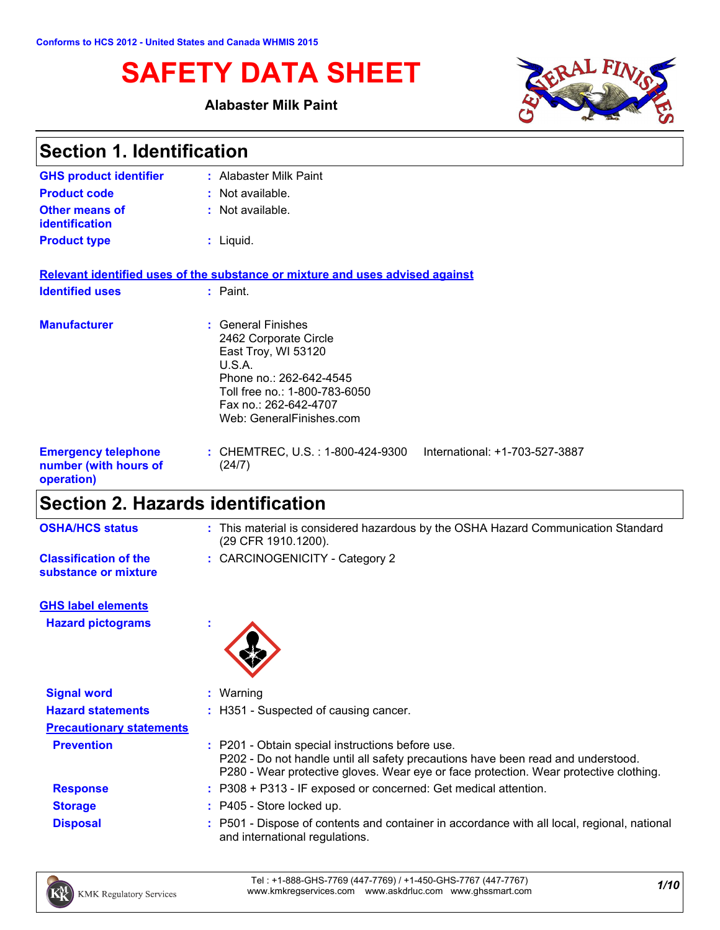# **SAFETY DATA SHEET**

### **Alabaster Milk Paint**



| <b>Section 1. Identification</b>                                  |                                                                                                                                                                                               |  |
|-------------------------------------------------------------------|-----------------------------------------------------------------------------------------------------------------------------------------------------------------------------------------------|--|
| <b>GHS product identifier</b>                                     | : Alabaster Milk Paint                                                                                                                                                                        |  |
| <b>Product code</b>                                               | $:$ Not available.                                                                                                                                                                            |  |
| <b>Other means of</b><br><b>identification</b>                    | : Not available.                                                                                                                                                                              |  |
| <b>Product type</b>                                               | $:$ Liquid.                                                                                                                                                                                   |  |
|                                                                   | Relevant identified uses of the substance or mixture and uses advised against                                                                                                                 |  |
| <b>Identified uses</b>                                            | $:$ Paint.                                                                                                                                                                                    |  |
| <b>Manufacturer</b>                                               | : General Finishes<br>2462 Corporate Circle<br>East Troy, WI 53120<br>U.S.A.<br>Phone no.: 262-642-4545<br>Toll free no.: 1-800-783-6050<br>Fax no.: 262-642-4707<br>Web: GeneralFinishes.com |  |
| <b>Emergency telephone</b><br>number (with hours of<br>operation) | : CHEMTREC, U.S. : 1-800-424-9300<br>International: +1-703-527-3887<br>(24/7)                                                                                                                 |  |

# **Section 2. Hazards identification**

| <b>OSHA/HCS status</b>                               | : This material is considered hazardous by the OSHA Hazard Communication Standard<br>(29 CFR 1910.1200). |
|------------------------------------------------------|----------------------------------------------------------------------------------------------------------|
| <b>Classification of the</b><br>substance or mixture | : CARCINOGENICITY - Category 2                                                                           |
| <b>GHS label elements</b>                            |                                                                                                          |
| <b>Hazard pictograms</b>                             |                                                                                                          |
|                                                      |                                                                                                          |
| <b>Signal word</b>                                   | $:$ Warning                                                                                              |
| <b>Hazard statements</b>                             | : H351 - Suspected of causing cancer.                                                                    |

| <b>Prevention</b> | : P201 - Obtain special instructions before use.<br>P202 - Do not handle until all safety precautions have been read and understood.<br>P280 - Wear protective gloves. Wear eye or face protection. Wear protective clothing. |
|-------------------|-------------------------------------------------------------------------------------------------------------------------------------------------------------------------------------------------------------------------------|
| <b>Response</b>   | : P308 + P313 - IF exposed or concerned: Get medical attention.                                                                                                                                                               |
| <b>Storage</b>    | : P405 - Store locked up.                                                                                                                                                                                                     |
| <b>Disposal</b>   | : P501 - Dispose of contents and container in accordance with all local, regional, national<br>and international regulations.                                                                                                 |

**Precautionary statements**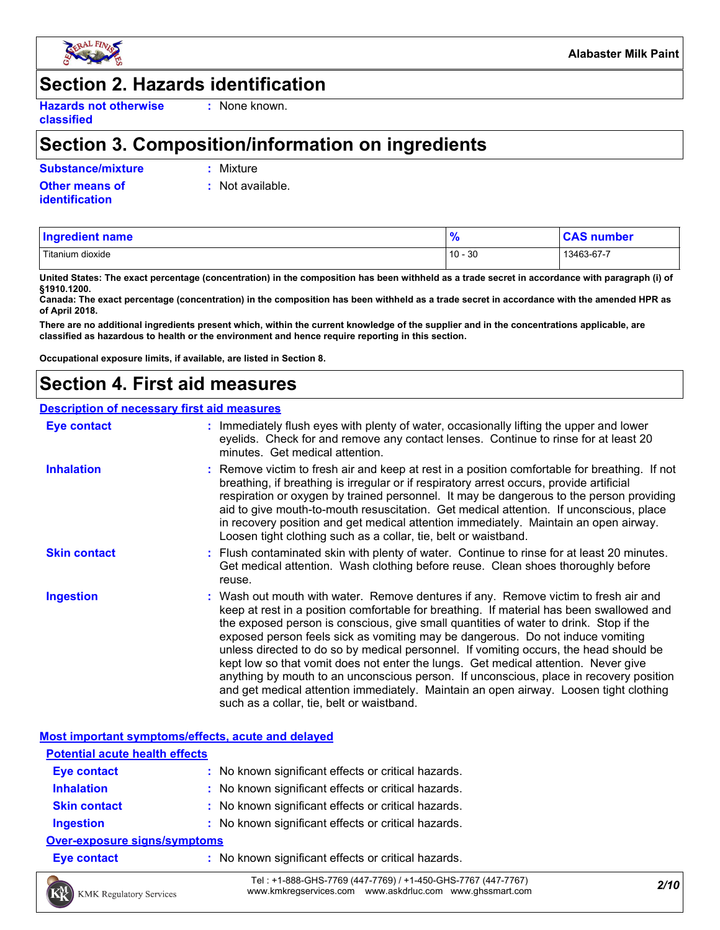

### **Section 2. Hazards identification**

**Hazards not otherwise classified**

**:** None known.

### **Section 3. Composition/information on ingredients**

**Substance/mixture :** Mixture

**Other means of identification**

**:** Not available.

| <b>Ingredient name</b> | $\frac{9}{6}$ | <b>CAS number</b> |
|------------------------|---------------|-------------------|
| Titanium dioxide       | $10 - 30$     | 13463-67-7        |

**United States: The exact percentage (concentration) in the composition has been withheld as a trade secret in accordance with paragraph (i) of §1910.1200.**

**Canada: The exact percentage (concentration) in the composition has been withheld as a trade secret in accordance with the amended HPR as of April 2018.**

**There are no additional ingredients present which, within the current knowledge of the supplier and in the concentrations applicable, are classified as hazardous to health or the environment and hence require reporting in this section.**

**Occupational exposure limits, if available, are listed in Section 8.**

## **Section 4. First aid measures**

#### **Description of necessary first aid measures**

| <b>Eye contact</b>  | : Immediately flush eyes with plenty of water, occasionally lifting the upper and lower<br>eyelids. Check for and remove any contact lenses. Continue to rinse for at least 20<br>minutes. Get medical attention.                                                                                                                                                                                                                                                                                                                                                                                                                                                                                                                                                         |
|---------------------|---------------------------------------------------------------------------------------------------------------------------------------------------------------------------------------------------------------------------------------------------------------------------------------------------------------------------------------------------------------------------------------------------------------------------------------------------------------------------------------------------------------------------------------------------------------------------------------------------------------------------------------------------------------------------------------------------------------------------------------------------------------------------|
| <b>Inhalation</b>   | : Remove victim to fresh air and keep at rest in a position comfortable for breathing. If not<br>breathing, if breathing is irregular or if respiratory arrest occurs, provide artificial<br>respiration or oxygen by trained personnel. It may be dangerous to the person providing<br>aid to give mouth-to-mouth resuscitation. Get medical attention. If unconscious, place<br>in recovery position and get medical attention immediately. Maintain an open airway.<br>Loosen tight clothing such as a collar, tie, belt or waistband.                                                                                                                                                                                                                                 |
| <b>Skin contact</b> | : Flush contaminated skin with plenty of water. Continue to rinse for at least 20 minutes.<br>Get medical attention. Wash clothing before reuse. Clean shoes thoroughly before<br>reuse.                                                                                                                                                                                                                                                                                                                                                                                                                                                                                                                                                                                  |
| <b>Ingestion</b>    | : Wash out mouth with water. Remove dentures if any. Remove victim to fresh air and<br>keep at rest in a position comfortable for breathing. If material has been swallowed and<br>the exposed person is conscious, give small quantities of water to drink. Stop if the<br>exposed person feels sick as vomiting may be dangerous. Do not induce vomiting<br>unless directed to do so by medical personnel. If vomiting occurs, the head should be<br>kept low so that vomit does not enter the lungs. Get medical attention. Never give<br>anything by mouth to an unconscious person. If unconscious, place in recovery position<br>and get medical attention immediately. Maintain an open airway. Loosen tight clothing<br>such as a collar, tie, belt or waistband. |

**Most important symptoms/effects, acute and delayed**

| <b>Potential acute health effects</b> |                                                     |  |  |
|---------------------------------------|-----------------------------------------------------|--|--|
| <b>Eye contact</b>                    | : No known significant effects or critical hazards. |  |  |
| <b>Inhalation</b>                     | : No known significant effects or critical hazards. |  |  |
| <b>Skin contact</b>                   | : No known significant effects or critical hazards. |  |  |
| <b>Ingestion</b>                      | : No known significant effects or critical hazards. |  |  |
| <b>Over-exposure signs/symptoms</b>   |                                                     |  |  |
| <b>Eye contact</b>                    | : No known significant effects or critical hazards. |  |  |

KMK Regulatory Services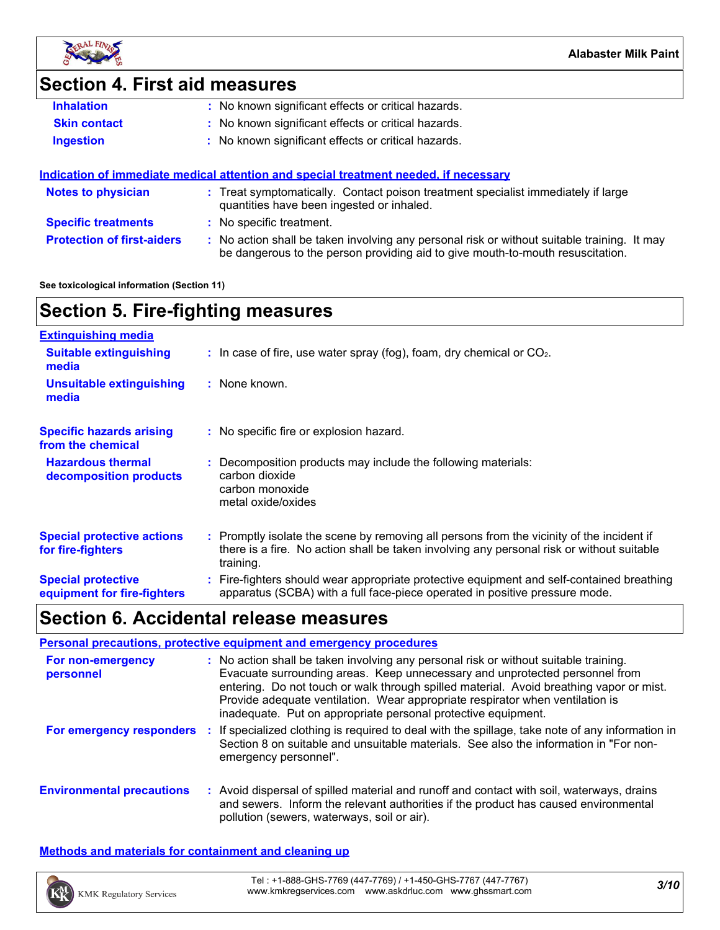

### **Section 4. First aid measures**

| <b>Inhalation</b>   | : No known significant effects or critical hazards.                                   |
|---------------------|---------------------------------------------------------------------------------------|
| <b>Skin contact</b> | : No known significant effects or critical hazards.                                   |
| <b>Ingestion</b>    | : No known significant effects or critical hazards.                                   |
|                     | indication of immediate medical ettention and energial treatment needed, if necessary |

|                                   | Indication of immediate medical attention and special treatment needed, if necessary                                                                                          |
|-----------------------------------|-------------------------------------------------------------------------------------------------------------------------------------------------------------------------------|
| <b>Notes to physician</b>         | : Treat symptomatically. Contact poison treatment specialist immediately if large<br>quantities have been ingested or inhaled.                                                |
| <b>Specific treatments</b>        | : No specific treatment.                                                                                                                                                      |
| <b>Protection of first-aiders</b> | : No action shall be taken involving any personal risk or without suitable training. It may<br>be dangerous to the person providing aid to give mouth-to-mouth resuscitation. |

**See toxicological information (Section 11)**

# **Section 5. Fire-fighting measures**

| <b>Extinguishing media</b>                               |                                                                                                                                                                                                     |
|----------------------------------------------------------|-----------------------------------------------------------------------------------------------------------------------------------------------------------------------------------------------------|
| <b>Suitable extinguishing</b><br>media                   | $\therefore$ In case of fire, use water spray (fog), foam, dry chemical or CO <sub>2</sub> .                                                                                                        |
| <b>Unsuitable extinguishing</b><br>media                 | : None known.                                                                                                                                                                                       |
| <b>Specific hazards arising</b><br>from the chemical     | : No specific fire or explosion hazard.                                                                                                                                                             |
| <b>Hazardous thermal</b><br>decomposition products       | : Decomposition products may include the following materials:<br>carbon dioxide<br>carbon monoxide<br>metal oxide/oxides                                                                            |
| <b>Special protective actions</b><br>for fire-fighters   | : Promptly isolate the scene by removing all persons from the vicinity of the incident if<br>there is a fire. No action shall be taken involving any personal risk or without suitable<br>training. |
| <b>Special protective</b><br>equipment for fire-fighters | : Fire-fighters should wear appropriate protective equipment and self-contained breathing<br>apparatus (SCBA) with a full face-piece operated in positive pressure mode.                            |

### **Section 6. Accidental release measures**

#### **Environmental precautions Personal precautions, protective equipment and emergency procedures :** Avoid dispersal of spilled material and runoff and contact with soil, waterways, drains **:** No action shall be taken involving any personal risk or without suitable training. Evacuate surrounding areas. Keep unnecessary and unprotected personnel from entering. Do not touch or walk through spilled material. Avoid breathing vapor or mist. Provide adequate ventilation. Wear appropriate respirator when ventilation is inadequate. Put on appropriate personal protective equipment. and sewers. Inform the relevant authorities if the product has caused environmental pollution (sewers, waterways, soil or air). **For non-emergency personnel For emergency responders :** If specialized clothing is required to deal with the spillage, take note of any information in Section 8 on suitable and unsuitable materials. See also the information in "For nonemergency personnel".

**Methods and materials for containment and cleaning up**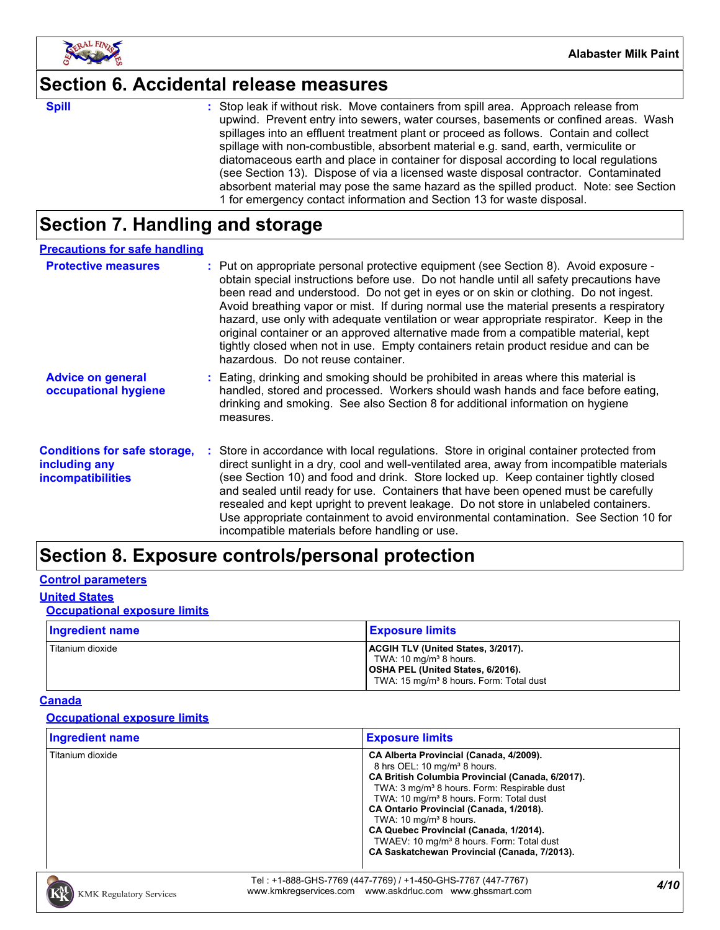

### **Section 6. Accidental release measures**

**Spill** Stop leak if without risk. Move containers from spill area. Approach release from spill upwind. Prevent entry into sewers, water courses, basements or confined areas. Wash spillages into an effluent treatment plant or proceed as follows. Contain and collect spillage with non-combustible, absorbent material e.g. sand, earth, vermiculite or diatomaceous earth and place in container for disposal according to local regulations (see Section 13). Dispose of via a licensed waste disposal contractor. Contaminated absorbent material may pose the same hazard as the spilled product. Note: see Section 1 for emergency contact information and Section 13 for waste disposal.

# **Section 7. Handling and storage**

| <b>Precautions for safe handling</b>                                             |                                                                                                                                                                                                                                                                                                                                                                                                                                                                                                                                                                                                                                                                                |
|----------------------------------------------------------------------------------|--------------------------------------------------------------------------------------------------------------------------------------------------------------------------------------------------------------------------------------------------------------------------------------------------------------------------------------------------------------------------------------------------------------------------------------------------------------------------------------------------------------------------------------------------------------------------------------------------------------------------------------------------------------------------------|
| <b>Protective measures</b>                                                       | : Put on appropriate personal protective equipment (see Section 8). Avoid exposure -<br>obtain special instructions before use. Do not handle until all safety precautions have<br>been read and understood. Do not get in eyes or on skin or clothing. Do not ingest.<br>Avoid breathing vapor or mist. If during normal use the material presents a respiratory<br>hazard, use only with adequate ventilation or wear appropriate respirator. Keep in the<br>original container or an approved alternative made from a compatible material, kept<br>tightly closed when not in use. Empty containers retain product residue and can be<br>hazardous. Do not reuse container. |
| <b>Advice on general</b><br>occupational hygiene                                 | : Eating, drinking and smoking should be prohibited in areas where this material is<br>handled, stored and processed. Workers should wash hands and face before eating,<br>drinking and smoking. See also Section 8 for additional information on hygiene<br>measures.                                                                                                                                                                                                                                                                                                                                                                                                         |
| <b>Conditions for safe storage,</b><br>including any<br><b>incompatibilities</b> | : Store in accordance with local regulations. Store in original container protected from<br>direct sunlight in a dry, cool and well-ventilated area, away from incompatible materials<br>(see Section 10) and food and drink. Store locked up. Keep container tightly closed<br>and sealed until ready for use. Containers that have been opened must be carefully<br>resealed and kept upright to prevent leakage. Do not store in unlabeled containers.<br>Use appropriate containment to avoid environmental contamination. See Section 10 for<br>incompatible materials before handling or use.                                                                            |

# **Section 8. Exposure controls/personal protection**

#### **Control parameters**

### **United States**

### **Occupational exposure limits**

| Ingredient name  | <b>Exposure limits</b>                                                                                                                                               |
|------------------|----------------------------------------------------------------------------------------------------------------------------------------------------------------------|
| Titanium dioxide | ACGIH TLV (United States, 3/2017).<br>TWA: 10 mg/m <sup>3</sup> 8 hours.<br>OSHA PEL (United States, 6/2016).<br>TWA: 15 mg/m <sup>3</sup> 8 hours. Form: Total dust |

#### **Canada**

#### **Occupational exposure limits**

| <b>Ingredient name</b> | <b>Exposure limits</b>                                                                                                                                                                                                                                                                                                                                                                                                                                                                       |
|------------------------|----------------------------------------------------------------------------------------------------------------------------------------------------------------------------------------------------------------------------------------------------------------------------------------------------------------------------------------------------------------------------------------------------------------------------------------------------------------------------------------------|
| Titanium dioxide       | CA Alberta Provincial (Canada, 4/2009).<br>8 hrs OEL: 10 mg/m <sup>3</sup> 8 hours.<br>CA British Columbia Provincial (Canada, 6/2017).<br>TWA: 3 mg/m <sup>3</sup> 8 hours. Form: Respirable dust<br>TWA: 10 mg/m <sup>3</sup> 8 hours. Form: Total dust<br>CA Ontario Provincial (Canada, 1/2018).<br>TWA: $10 \text{ mg/m}^3$ 8 hours.<br>CA Quebec Provincial (Canada, 1/2014).<br>TWAEV: 10 mg/m <sup>3</sup> 8 hours. Form: Total dust<br>CA Saskatchewan Provincial (Canada, 7/2013). |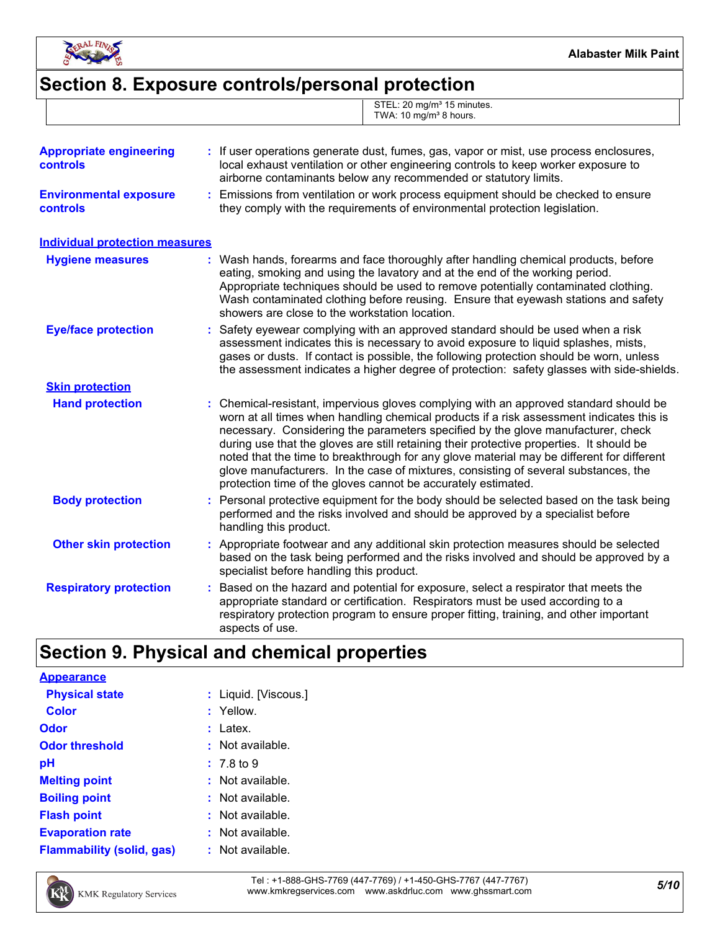

# **Section 8. Exposure controls/personal protection**

|  | STEL: 20 mg/m <sup>3</sup> 15 minutes.<br>TWA: 10 mg/m <sup>3</sup> 8 hours. |
|--|------------------------------------------------------------------------------|
|  |                                                                              |

| <b>Appropriate engineering</b><br><b>controls</b> | If user operations generate dust, fumes, gas, vapor or mist, use process enclosures,<br>local exhaust ventilation or other engineering controls to keep worker exposure to<br>airborne contaminants below any recommended or statutory limits.                                                                                                                                                                                                                                                                                                                                                                         |
|---------------------------------------------------|------------------------------------------------------------------------------------------------------------------------------------------------------------------------------------------------------------------------------------------------------------------------------------------------------------------------------------------------------------------------------------------------------------------------------------------------------------------------------------------------------------------------------------------------------------------------------------------------------------------------|
| <b>Environmental exposure</b><br>controls         | Emissions from ventilation or work process equipment should be checked to ensure<br>t.<br>they comply with the requirements of environmental protection legislation.                                                                                                                                                                                                                                                                                                                                                                                                                                                   |
| <b>Individual protection measures</b>             |                                                                                                                                                                                                                                                                                                                                                                                                                                                                                                                                                                                                                        |
| <b>Hygiene measures</b>                           | : Wash hands, forearms and face thoroughly after handling chemical products, before<br>eating, smoking and using the lavatory and at the end of the working period.<br>Appropriate techniques should be used to remove potentially contaminated clothing.<br>Wash contaminated clothing before reusing. Ensure that eyewash stations and safety<br>showers are close to the workstation location.                                                                                                                                                                                                                      |
| <b>Eye/face protection</b>                        | Safety eyewear complying with an approved standard should be used when a risk<br>assessment indicates this is necessary to avoid exposure to liquid splashes, mists,<br>gases or dusts. If contact is possible, the following protection should be worn, unless<br>the assessment indicates a higher degree of protection: safety glasses with side-shields.                                                                                                                                                                                                                                                           |
| <b>Skin protection</b>                            |                                                                                                                                                                                                                                                                                                                                                                                                                                                                                                                                                                                                                        |
| <b>Hand protection</b>                            | : Chemical-resistant, impervious gloves complying with an approved standard should be<br>worn at all times when handling chemical products if a risk assessment indicates this is<br>necessary. Considering the parameters specified by the glove manufacturer, check<br>during use that the gloves are still retaining their protective properties. It should be<br>noted that the time to breakthrough for any glove material may be different for different<br>glove manufacturers. In the case of mixtures, consisting of several substances, the<br>protection time of the gloves cannot be accurately estimated. |
| <b>Body protection</b>                            | Personal protective equipment for the body should be selected based on the task being<br>performed and the risks involved and should be approved by a specialist before<br>handling this product.                                                                                                                                                                                                                                                                                                                                                                                                                      |
| <b>Other skin protection</b>                      | Appropriate footwear and any additional skin protection measures should be selected<br>based on the task being performed and the risks involved and should be approved by a<br>specialist before handling this product.                                                                                                                                                                                                                                                                                                                                                                                                |
| <b>Respiratory protection</b>                     | Based on the hazard and potential for exposure, select a respirator that meets the<br>appropriate standard or certification. Respirators must be used according to a<br>respiratory protection program to ensure proper fitting, training, and other important<br>aspects of use.                                                                                                                                                                                                                                                                                                                                      |

# **Section 9. Physical and chemical properties**

| <b>Appearance</b>                |                       |
|----------------------------------|-----------------------|
| <b>Physical state</b>            | : Liquid. [Viscous.]  |
| <b>Color</b>                     | : Yellow.             |
| Odor                             | : Latex.              |
| <b>Odor threshold</b>            | : Not available.      |
| рH                               | $: 7.8 \text{ to } 9$ |
| <b>Melting point</b>             | $:$ Not available.    |
| <b>Boiling point</b>             | $:$ Not available.    |
| <b>Flash point</b>               | $:$ Not available.    |
| <b>Evaporation rate</b>          | $:$ Not available.    |
| <b>Flammability (solid, gas)</b> | : Not available.      |

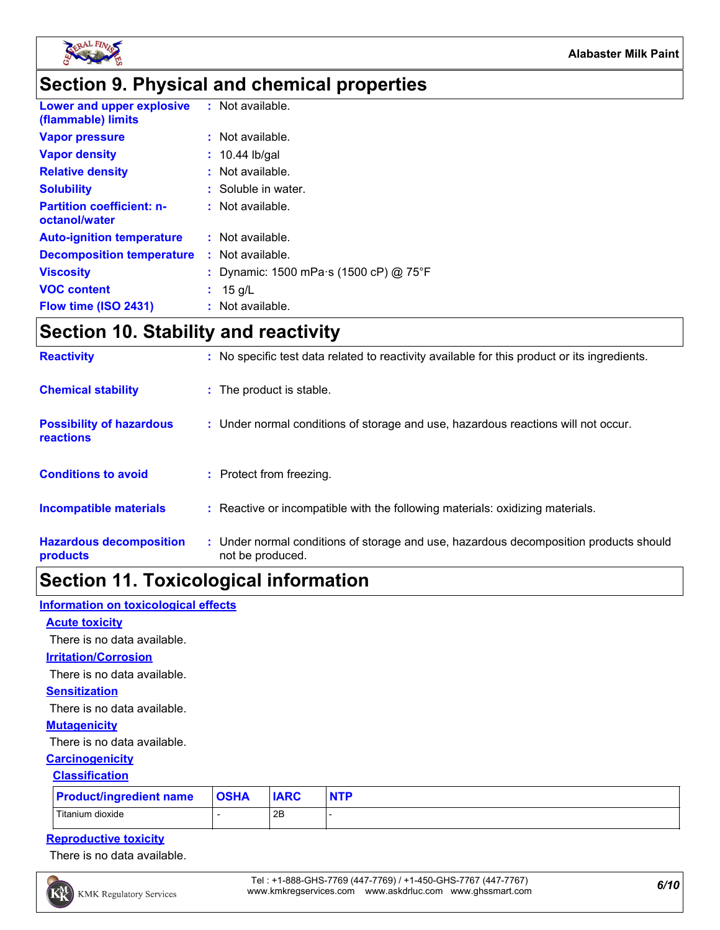

### **Section 9. Physical and chemical properties**

| Lower and upper explosive<br>(flammable) limits   | : Not available.                       |
|---------------------------------------------------|----------------------------------------|
| <b>Vapor pressure</b>                             | $:$ Not available.                     |
| <b>Vapor density</b>                              | $: 10.44$ lb/gal                       |
| <b>Relative density</b>                           | $:$ Not available.                     |
| <b>Solubility</b>                                 | : Soluble in water.                    |
| <b>Partition coefficient: n-</b><br>octanol/water | $:$ Not available.                     |
| <b>Auto-ignition temperature</b>                  | $:$ Not available.                     |
| <b>Decomposition temperature</b>                  | : Not available.                       |
| <b>Viscosity</b>                                  | : Dynamic: 1500 mPa s (1500 cP) @ 75°F |
| <b>VOC content</b>                                | : $15 q/L$                             |
| Flow time (ISO 2431)                              | $:$ Not available.                     |

# **Section 10. Stability and reactivity**

| <b>Reactivity</b>                                   | : No specific test data related to reactivity available for this product or its ingredients.              |
|-----------------------------------------------------|-----------------------------------------------------------------------------------------------------------|
| <b>Chemical stability</b>                           | : The product is stable.                                                                                  |
| <b>Possibility of hazardous</b><br><b>reactions</b> | : Under normal conditions of storage and use, hazardous reactions will not occur.                         |
| <b>Conditions to avoid</b>                          | : Protect from freezing.                                                                                  |
| <b>Incompatible materials</b>                       | : Reactive or incompatible with the following materials: oxidizing materials.                             |
| <b>Hazardous decomposition</b><br>products          | : Under normal conditions of storage and use, hazardous decomposition products should<br>not be produced. |

## **Section 11. Toxicological information**

#### **Information on toxicological effects**

### **Acute toxicity**

There is no data available.

#### **Irritation/Corrosion**

There is no data available.

#### **Sensitization**

There is no data available.

#### **Mutagenicity**

There is no data available.

#### **Carcinogenicity**

#### **Classification**

| <b>Product/ingredient name</b> | <b>OSHA</b> | <b>IARC</b> |  |
|--------------------------------|-------------|-------------|--|
| Titanium dioxide               |             | 2Β          |  |

### **Reproductive toxicity**

There is no data available.

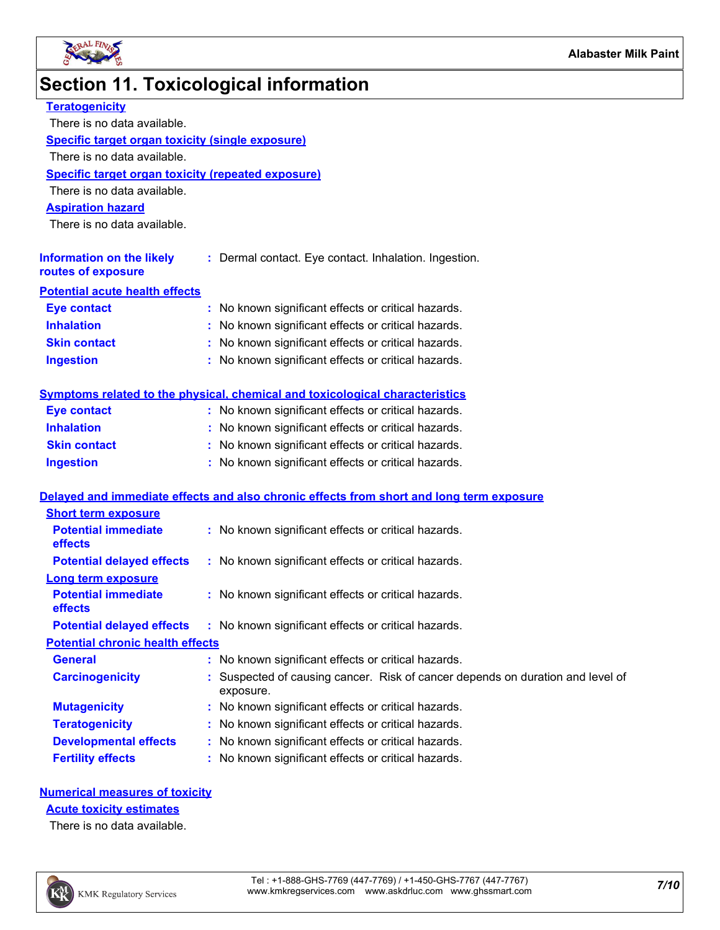

# **Section 11. Toxicological information**

| <b>Teratogenicity</b>                                     |                                                                                           |
|-----------------------------------------------------------|-------------------------------------------------------------------------------------------|
| There is no data available.                               |                                                                                           |
| <b>Specific target organ toxicity (single exposure)</b>   |                                                                                           |
| There is no data available.                               |                                                                                           |
| <b>Specific target organ toxicity (repeated exposure)</b> |                                                                                           |
| There is no data available.                               |                                                                                           |
| <b>Aspiration hazard</b>                                  |                                                                                           |
| There is no data available.                               |                                                                                           |
| <b>Information on the likely</b><br>routes of exposure    | : Dermal contact. Eye contact. Inhalation. Ingestion.                                     |
| <b>Potential acute health effects</b>                     |                                                                                           |
| <b>Eye contact</b>                                        | : No known significant effects or critical hazards.                                       |
| <b>Inhalation</b>                                         | No known significant effects or critical hazards.                                         |
| <b>Skin contact</b>                                       | : No known significant effects or critical hazards.                                       |
| <b>Ingestion</b>                                          | : No known significant effects or critical hazards.                                       |
|                                                           | <b>Symptoms related to the physical, chemical and toxicological characteristics</b>       |
| <b>Eye contact</b>                                        | : No known significant effects or critical hazards.                                       |
| <b>Inhalation</b>                                         | : No known significant effects or critical hazards.                                       |
| <b>Skin contact</b>                                       | : No known significant effects or critical hazards.                                       |
| <b>Ingestion</b>                                          | : No known significant effects or critical hazards.                                       |
|                                                           | Delayed and immediate effects and also chronic effects from short and long term exposure  |
| <b>Short term exposure</b>                                |                                                                                           |
| <b>Potential immediate</b><br>effects                     | : No known significant effects or critical hazards.                                       |
| <b>Potential delayed effects</b>                          | : No known significant effects or critical hazards.                                       |
| <b>Long term exposure</b>                                 |                                                                                           |
| <b>Potential immediate</b><br>effects                     | : No known significant effects or critical hazards.                                       |
|                                                           | <b>Potential delayed effects</b> : No known significant effects or critical hazards.      |
| <b>Potential chronic health effects</b>                   |                                                                                           |
| <b>General</b>                                            | : No known significant effects or critical hazards.                                       |
| <b>Carcinogenicity</b>                                    | Suspected of causing cancer. Risk of cancer depends on duration and level of<br>exposure. |
| <b>Mutagenicity</b>                                       | : No known significant effects or critical hazards.                                       |
| <b>Teratogenicity</b>                                     | No known significant effects or critical hazards.                                         |
| <b>Developmental effects</b>                              | : No known significant effects or critical hazards.                                       |
| <b>Fertility effects</b>                                  | : No known significant effects or critical hazards.                                       |
|                                                           |                                                                                           |

#### **Numerical measures of toxicity**

**Acute toxicity estimates**

There is no data available.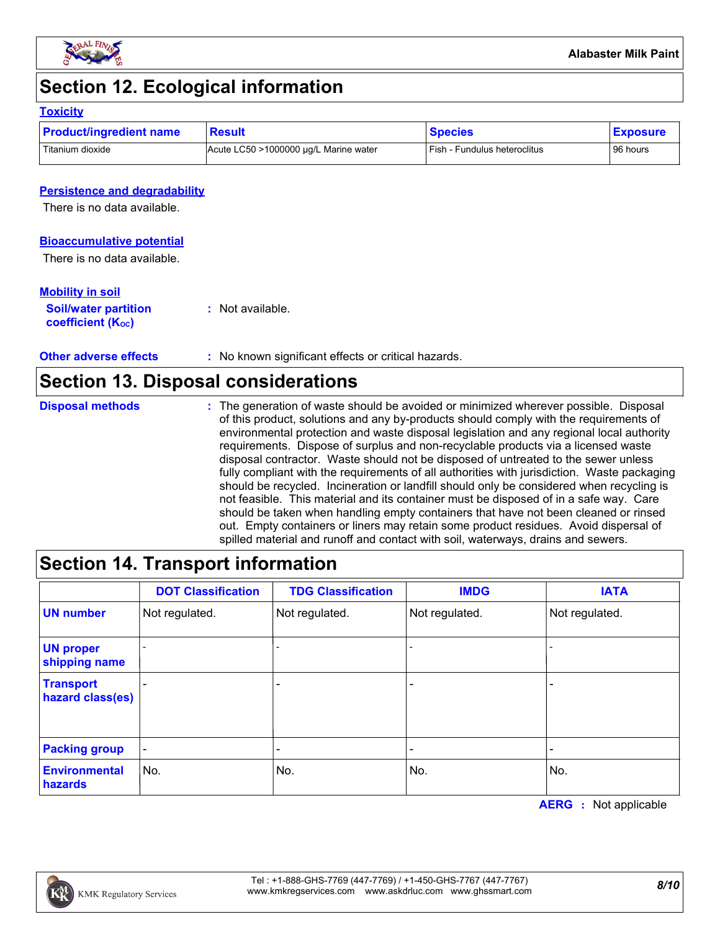

## **Section 12. Ecological information**

#### **Toxicity**

| <b>Product/ingredient name</b> | Result                                | <b>Species</b>               | <b>Exposure</b> |
|--------------------------------|---------------------------------------|------------------------------|-----------------|
| Titanium dioxide               | Acute LC50 >1000000 µg/L Marine water | Fish - Fundulus heteroclitus | 96 hours        |

### **Persistence and degradability**

There is no data available.

#### **Bioaccumulative potential**

There is no data available.

#### **Mobility in soil**

| <b>Soil/water partition</b> | : Not available. |
|-----------------------------|------------------|
| <b>coefficient (Koc)</b>    |                  |

**Other adverse effects** : No known significant effects or critical hazards.

### **Section 13. Disposal considerations**

The generation of waste should be avoided or minimized wherever possible. Disposal of this product, solutions and any by-products should comply with the requirements of environmental protection and waste disposal legislation and any regional local authority requirements. Dispose of surplus and non-recyclable products via a licensed waste disposal contractor. Waste should not be disposed of untreated to the sewer unless fully compliant with the requirements of all authorities with jurisdiction. Waste packaging should be recycled. Incineration or landfill should only be considered when recycling is not feasible. This material and its container must be disposed of in a safe way. Care should be taken when handling empty containers that have not been cleaned or rinsed out. Empty containers or liners may retain some product residues. Avoid dispersal of spilled material and runoff and contact with soil, waterways, drains and sewers. **Disposal methods :**

### **Section 14. Transport information**

|                                      | <b>DOT Classification</b> | <b>TDG Classification</b> | <b>IMDG</b>    | <b>IATA</b>    |
|--------------------------------------|---------------------------|---------------------------|----------------|----------------|
| <b>UN number</b>                     | Not regulated.            | Not regulated.            | Not regulated. | Not regulated. |
| <b>UN proper</b><br>shipping name    |                           |                           |                |                |
| <b>Transport</b><br>hazard class(es) |                           | -                         |                |                |
| <b>Packing group</b>                 |                           |                           |                |                |
| <b>Environmental</b><br>hazards      | No.                       | No.                       | No.            | No.            |

**AERG :** Not applicable

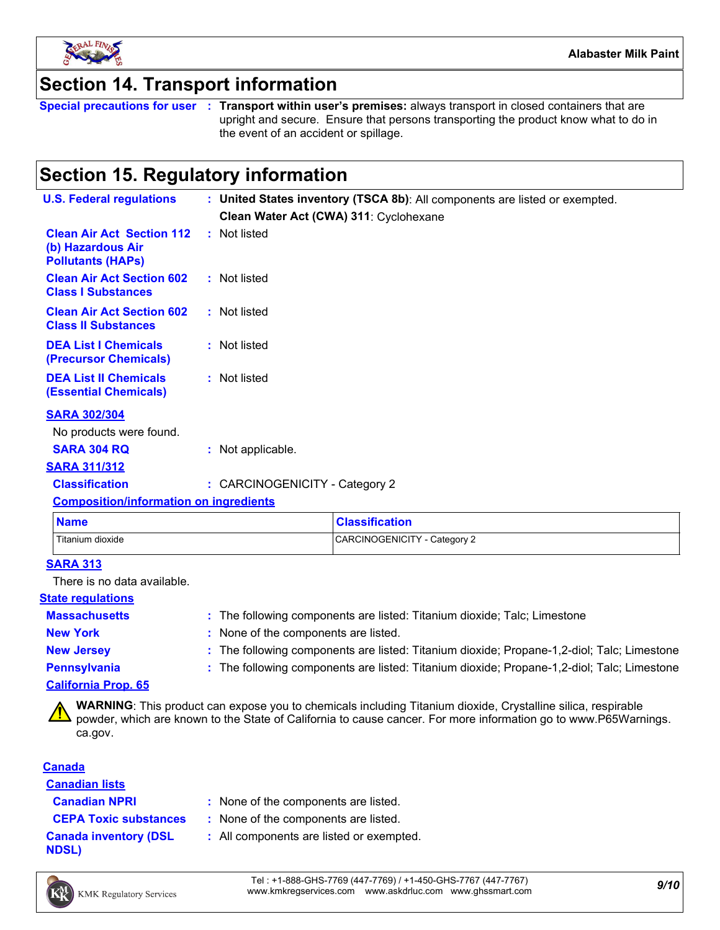

### **Section 14. Transport information**

**Special precautions for user Transport within user's premises:** always transport in closed containers that are **:** upright and secure. Ensure that persons transporting the product know what to do in the event of an accident or spillage.

## **Section 15. Regulatory information**

| <b>U.S. Federal regulations</b>                                                   |                                | : United States inventory (TSCA 8b): All components are listed or exempted. |
|-----------------------------------------------------------------------------------|--------------------------------|-----------------------------------------------------------------------------|
|                                                                                   |                                | Clean Water Act (CWA) 311: Cyclohexane                                      |
| <b>Clean Air Act Section 112</b><br>(b) Hazardous Air<br><b>Pollutants (HAPS)</b> | : Not listed                   |                                                                             |
| <b>Clean Air Act Section 602</b><br><b>Class I Substances</b>                     | : Not listed                   |                                                                             |
| <b>Clean Air Act Section 602</b><br><b>Class II Substances</b>                    | : Not listed                   |                                                                             |
| <b>DEA List I Chemicals</b><br>(Precursor Chemicals)                              | : Not listed                   |                                                                             |
| <b>DEA List II Chemicals</b><br><b>(Essential Chemicals)</b>                      | : Not listed                   |                                                                             |
| <b>SARA 302/304</b>                                                               |                                |                                                                             |
| No products were found.                                                           |                                |                                                                             |
| <b>SARA 304 RQ</b>                                                                | : Not applicable.              |                                                                             |
| <b>SARA 311/312</b>                                                               |                                |                                                                             |
| <b>Classification</b>                                                             | : CARCINOGENICITY - Category 2 |                                                                             |
| <b>Composition/information on ingredients</b>                                     |                                |                                                                             |
| <b>Name</b>                                                                       |                                | <b>Classification</b>                                                       |

### **SARA 313**

There is no data available.

#### **State regulations**

### **Massachusetts :**

The following components are listed: Titanium dioxide; Talc; Limestone

**New York :** None of the components are listed.

Titanium dioxide CARCINOGENICITY - Category 2

**New Jersey :** The following components are listed: Titanium dioxide; Propane-1,2-diol; Talc; Limestone

**Pennsylvania :** The following components are listed: Titanium dioxide; Propane-1,2-diol; Talc; Limestone

### **California Prop. 65**

**WARNING**: This product can expose you to chemicals including Titanium dioxide, Crystalline silica, respirable powder, which are known to the State of California to cause cancer. For more information go to www.P65Warnings. ca.gov.

### **Canada**

**Canadian lists**

**Canadian NPRI :** None of the components are listed.

**CEPA Toxic substances :** None of the components are listed.

**Canada inventory (DSL NDSL)**

**:** All components are listed or exempted.